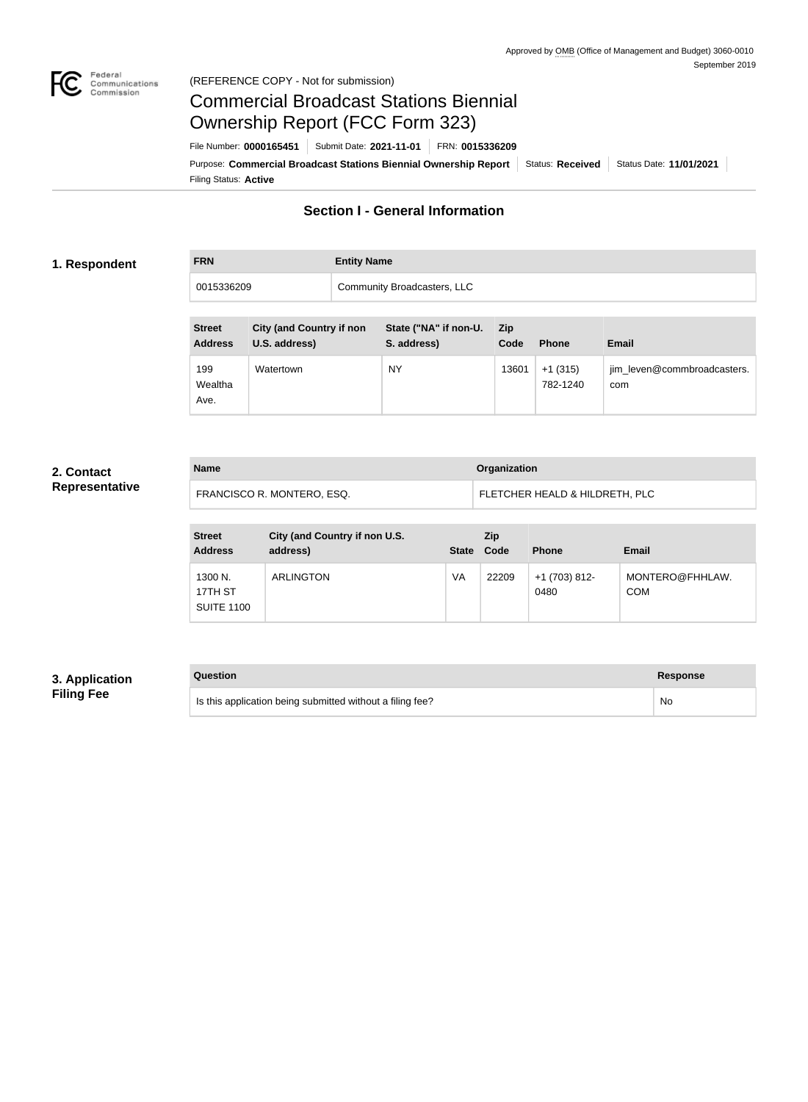

#### Federal<br>Communications<br>Commission (REFERENCE COPY - Not for submission)

# Commercial Broadcast Stations Biennial Ownership Report (FCC Form 323)

Filing Status: **Active** Purpose: Commercial Broadcast Stations Biennial Ownership Report Status: Received Status Date: 11/01/2021 File Number: **0000165451** Submit Date: **2021-11-01** FRN: **0015336209**

## **Section I - General Information**

#### **1. Respondent**

# **FRN Entity Name** 0015336209 Community Broadcasters, LLC

| <b>Street</b><br><b>Address</b> | <b>City (and Country if non</b><br>U.S. address) | State ("NA" if non-U.<br>S. address) | Zip<br>Code | <b>Phone</b>          | Email                              |
|---------------------------------|--------------------------------------------------|--------------------------------------|-------------|-----------------------|------------------------------------|
| 199<br>Wealtha<br>Ave.          | Watertown                                        | NY                                   | 13601       | $+1(315)$<br>782-1240 | jim_leven@commbroadcasters.<br>com |

#### **2. Contact Representative**

| <b>Name</b>                | Organization                   |
|----------------------------|--------------------------------|
| FRANCISCO R. MONTERO, ESQ. | FLETCHER HEALD & HILDRETH, PLC |

| <b>Street</b><br><b>Address</b>         | City (and Country if non U.S.<br>address) | <b>State</b> | <b>Zip</b><br>Code | <b>Phone</b>          | Email                         |
|-----------------------------------------|-------------------------------------------|--------------|--------------------|-----------------------|-------------------------------|
| 1300 N.<br>17TH ST<br><b>SUITE 1100</b> | <b>ARLINGTON</b>                          | VA           | 22209              | +1 (703) 812-<br>0480 | MONTERO@FHHLAW.<br><b>COM</b> |

### **3. Application Filing Fee**

## **Question Response**

Is this application being submitted without a filing fee? No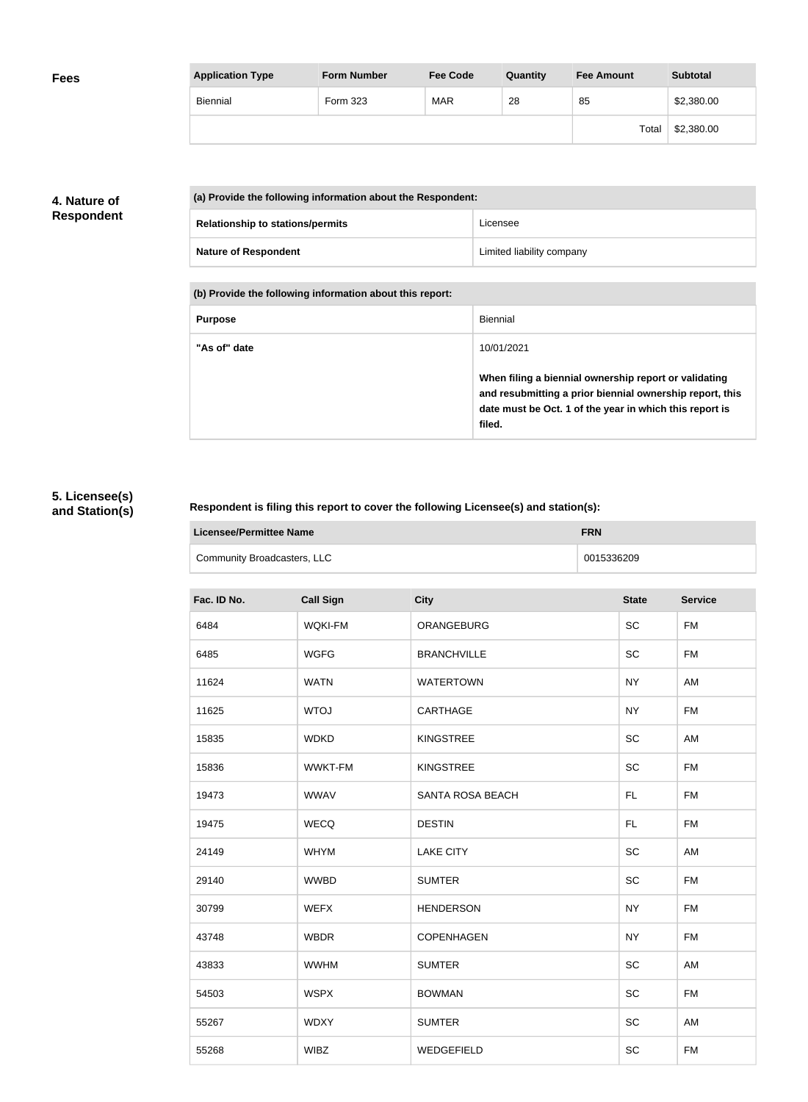| <b>Application Type</b> | <b>Form Number</b> | <b>Fee Code</b> | Quantity | <b>Fee Amount</b> | <b>Subtotal</b> |
|-------------------------|--------------------|-----------------|----------|-------------------|-----------------|
| <b>Biennial</b>         | Form 323           | <b>MAR</b>      | 28       | 85                | \$2,380.00      |
|                         |                    |                 |          | Total             | \$2,380.00      |

### **4. Nature of Respondent**

|                                         | (a) Provide the following information about the Respondent: |                           |  |
|-----------------------------------------|-------------------------------------------------------------|---------------------------|--|
| <b>Relationship to stations/permits</b> |                                                             | Licensee                  |  |
|                                         | <b>Nature of Respondent</b>                                 | Limited liability company |  |

**(b) Provide the following information about this report:**

| <b>Purpose</b> | Biennial                                                                                                                                                                               |
|----------------|----------------------------------------------------------------------------------------------------------------------------------------------------------------------------------------|
| "As of" date   | 10/01/2021                                                                                                                                                                             |
|                | When filing a biennial ownership report or validating<br>and resubmitting a prior biennial ownership report, this<br>date must be Oct. 1 of the year in which this report is<br>filed. |

## **5. Licensee(s) and Station(s)**

#### **Respondent is filing this report to cover the following Licensee(s) and station(s):**

| Licensee/Permittee Name     | <b>FRN</b> |
|-----------------------------|------------|
| Community Broadcasters, LLC | 0015336209 |

| Fac. ID No. | <b>Call Sign</b> | <b>City</b>        | <b>State</b> | <b>Service</b> |
|-------------|------------------|--------------------|--------------|----------------|
| 6484        | <b>WQKI-FM</b>   | ORANGEBURG         | <b>SC</b>    | <b>FM</b>      |
| 6485        | <b>WGFG</b>      | <b>BRANCHVILLE</b> | <b>SC</b>    | <b>FM</b>      |
| 11624       | <b>WATN</b>      | <b>WATERTOWN</b>   | <b>NY</b>    | AM             |
| 11625       | <b>WTOJ</b>      | CARTHAGE           | <b>NY</b>    | <b>FM</b>      |
| 15835       | <b>WDKD</b>      | <b>KINGSTREE</b>   | <b>SC</b>    | AM             |
| 15836       | <b>WWKT-FM</b>   | <b>KINGSTREE</b>   | <b>SC</b>    | <b>FM</b>      |
| 19473       | <b>WWAV</b>      | SANTA ROSA BEACH   | FL.          | <b>FM</b>      |
| 19475       | <b>WECQ</b>      | <b>DESTIN</b>      | FL.          | <b>FM</b>      |
| 24149       | <b>WHYM</b>      | <b>LAKE CITY</b>   | <b>SC</b>    | AM             |
| 29140       | <b>WWBD</b>      | <b>SUMTER</b>      | <b>SC</b>    | <b>FM</b>      |
| 30799       | <b>WEFX</b>      | <b>HENDERSON</b>   | <b>NY</b>    | <b>FM</b>      |
| 43748       | <b>WBDR</b>      | <b>COPENHAGEN</b>  | <b>NY</b>    | <b>FM</b>      |
| 43833       | <b>WWHM</b>      | <b>SUMTER</b>      | <b>SC</b>    | AM             |
| 54503       | <b>WSPX</b>      | <b>BOWMAN</b>      | <b>SC</b>    | <b>FM</b>      |
| 55267       | <b>WDXY</b>      | <b>SUMTER</b>      | SC           | AM             |
| 55268       | <b>WIBZ</b>      | WEDGEFIELD         | <b>SC</b>    | <b>FM</b>      |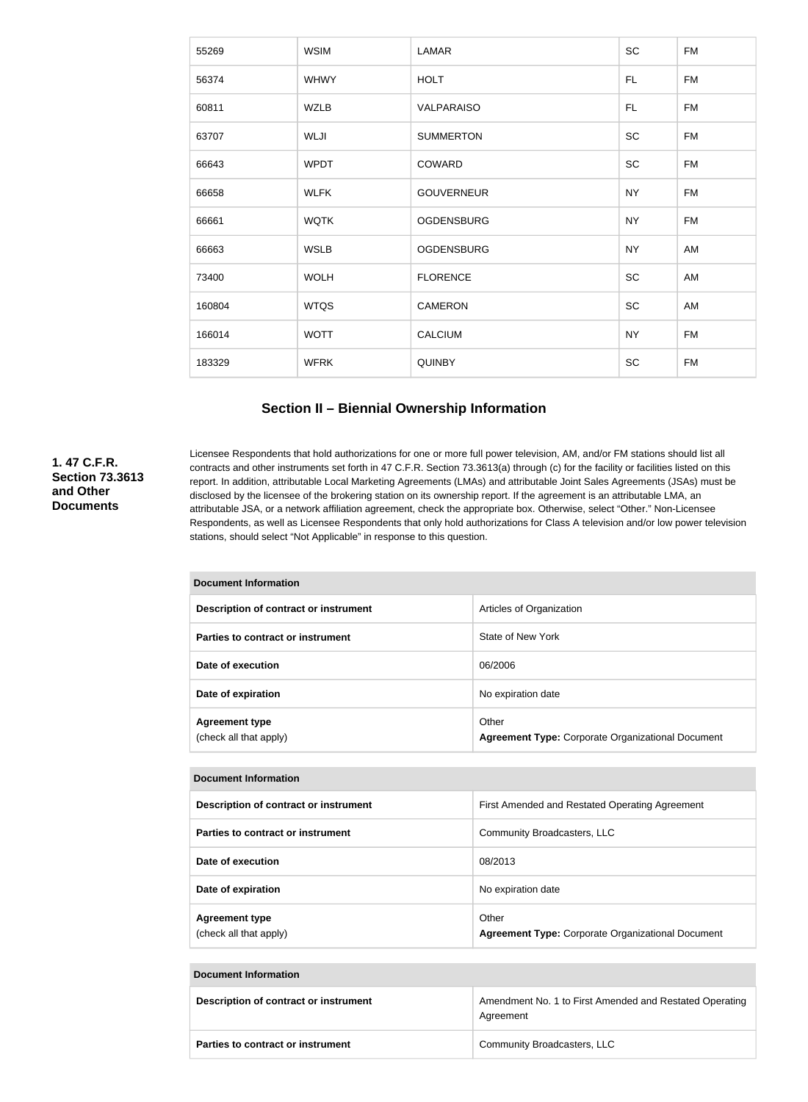| SC<br><b>WSIM</b><br>LAMAR<br><b>FM</b><br>55269<br>56374<br><b>HOLT</b><br><b>FM</b><br><b>WHWY</b><br>FL<br>60811<br><b>WZLB</b><br><b>FM</b><br><b>VALPARAISO</b><br>FL.<br>SC<br><b>FM</b><br>63707<br><b>WLJI</b><br><b>SUMMERTON</b><br>SC<br>66643<br><b>WPDT</b><br>COWARD<br><b>FM</b><br><b>GOUVERNEUR</b><br><b>NY</b><br><b>WLFK</b><br><b>FM</b><br>66658<br><b>WQTK</b><br><b>NY</b><br><b>FM</b><br>66661<br><b>OGDENSBURG</b><br>66663<br><b>WSLB</b><br><b>OGDENSBURG</b><br><b>NY</b><br>AM<br>SC<br><b>FLORENCE</b><br>73400<br><b>WOLH</b><br>AM<br>SC<br>160804<br><b>WTQS</b><br><b>CAMERON</b><br>AM<br><b>NY</b><br><b>FM</b><br>166014<br><b>WOTT</b><br><b>CALCIUM</b> |  |  |  |
|--------------------------------------------------------------------------------------------------------------------------------------------------------------------------------------------------------------------------------------------------------------------------------------------------------------------------------------------------------------------------------------------------------------------------------------------------------------------------------------------------------------------------------------------------------------------------------------------------------------------------------------------------------------------------------------------------|--|--|--|
|                                                                                                                                                                                                                                                                                                                                                                                                                                                                                                                                                                                                                                                                                                  |  |  |  |
|                                                                                                                                                                                                                                                                                                                                                                                                                                                                                                                                                                                                                                                                                                  |  |  |  |
|                                                                                                                                                                                                                                                                                                                                                                                                                                                                                                                                                                                                                                                                                                  |  |  |  |
|                                                                                                                                                                                                                                                                                                                                                                                                                                                                                                                                                                                                                                                                                                  |  |  |  |
|                                                                                                                                                                                                                                                                                                                                                                                                                                                                                                                                                                                                                                                                                                  |  |  |  |
|                                                                                                                                                                                                                                                                                                                                                                                                                                                                                                                                                                                                                                                                                                  |  |  |  |
|                                                                                                                                                                                                                                                                                                                                                                                                                                                                                                                                                                                                                                                                                                  |  |  |  |
|                                                                                                                                                                                                                                                                                                                                                                                                                                                                                                                                                                                                                                                                                                  |  |  |  |
|                                                                                                                                                                                                                                                                                                                                                                                                                                                                                                                                                                                                                                                                                                  |  |  |  |
|                                                                                                                                                                                                                                                                                                                                                                                                                                                                                                                                                                                                                                                                                                  |  |  |  |
|                                                                                                                                                                                                                                                                                                                                                                                                                                                                                                                                                                                                                                                                                                  |  |  |  |
| SC<br><b>WFRK</b><br><b>QUINBY</b><br><b>FM</b><br>183329                                                                                                                                                                                                                                                                                                                                                                                                                                                                                                                                                                                                                                        |  |  |  |

#### **Section II – Biennial Ownership Information**

### **1. 47 C.F.R. Section 73.3613 and Other Documents**

Licensee Respondents that hold authorizations for one or more full power television, AM, and/or FM stations should list all contracts and other instruments set forth in 47 C.F.R. Section 73.3613(a) through (c) for the facility or facilities listed on this report. In addition, attributable Local Marketing Agreements (LMAs) and attributable Joint Sales Agreements (JSAs) must be disclosed by the licensee of the brokering station on its ownership report. If the agreement is an attributable LMA, an attributable JSA, or a network affiliation agreement, check the appropriate box. Otherwise, select "Other." Non-Licensee Respondents, as well as Licensee Respondents that only hold authorizations for Class A television and/or low power television stations, should select "Not Applicable" in response to this question.

| <b>Document Information</b>                     |                                                                   |  |  |
|-------------------------------------------------|-------------------------------------------------------------------|--|--|
| Description of contract or instrument           | Articles of Organization                                          |  |  |
| Parties to contract or instrument               | State of New York                                                 |  |  |
| Date of execution                               | 06/2006                                                           |  |  |
| Date of expiration                              | No expiration date                                                |  |  |
| <b>Agreement type</b><br>(check all that apply) | Other<br><b>Agreement Type: Corporate Organizational Document</b> |  |  |
|                                                 |                                                                   |  |  |

| <b>Document Information</b>                     |                                                                   |  |
|-------------------------------------------------|-------------------------------------------------------------------|--|
| Description of contract or instrument           | First Amended and Restated Operating Agreement                    |  |
| Parties to contract or instrument               | Community Broadcasters, LLC                                       |  |
| Date of execution                               | 08/2013                                                           |  |
| Date of expiration                              | No expiration date                                                |  |
| <b>Agreement type</b><br>(check all that apply) | Other<br><b>Agreement Type: Corporate Organizational Document</b> |  |

# **Document Information Description of contract or instrument** Amendment No. 1 to First Amended and Restated Operating Agreement **Parties to contract or instrument Community Broadcasters, LLC**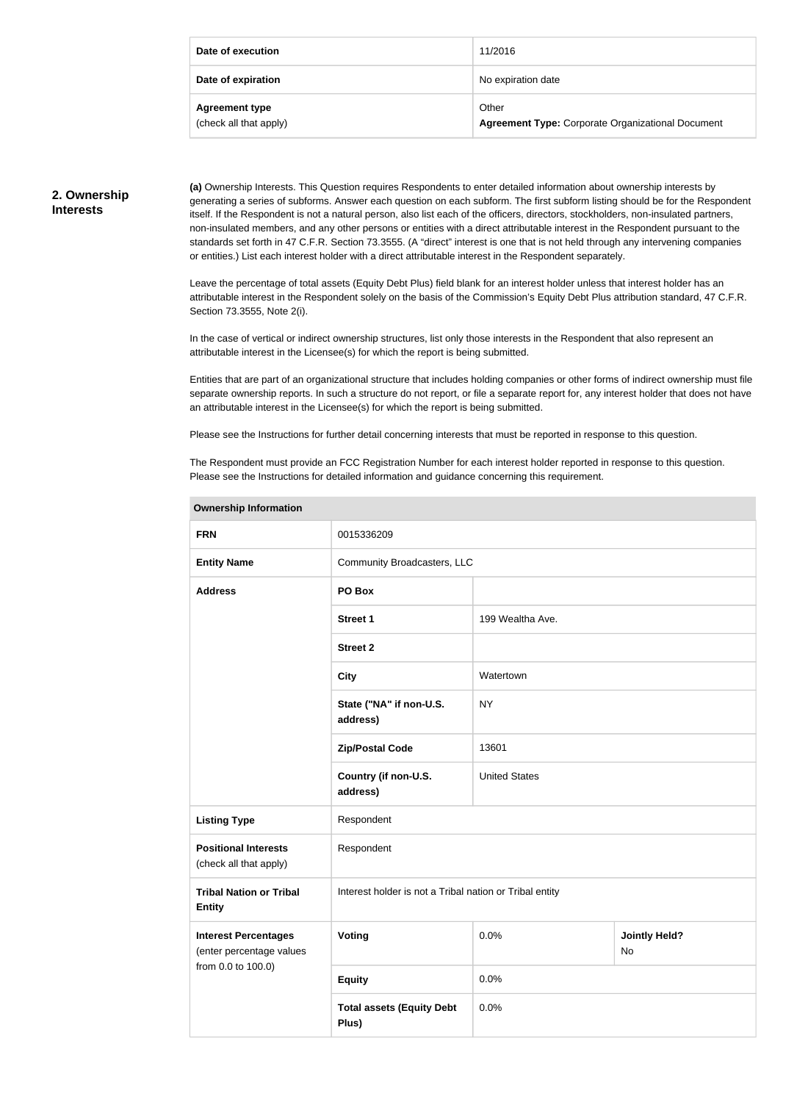| Date of execution                               | 11/2016                                                           |
|-------------------------------------------------|-------------------------------------------------------------------|
| Date of expiration                              | No expiration date                                                |
| <b>Agreement type</b><br>(check all that apply) | Other<br><b>Agreement Type: Corporate Organizational Document</b> |

#### **2. Ownership Interests**

**(a)** Ownership Interests. This Question requires Respondents to enter detailed information about ownership interests by generating a series of subforms. Answer each question on each subform. The first subform listing should be for the Respondent itself. If the Respondent is not a natural person, also list each of the officers, directors, stockholders, non-insulated partners, non-insulated members, and any other persons or entities with a direct attributable interest in the Respondent pursuant to the standards set forth in 47 C.F.R. Section 73.3555. (A "direct" interest is one that is not held through any intervening companies or entities.) List each interest holder with a direct attributable interest in the Respondent separately.

Leave the percentage of total assets (Equity Debt Plus) field blank for an interest holder unless that interest holder has an attributable interest in the Respondent solely on the basis of the Commission's Equity Debt Plus attribution standard, 47 C.F.R. Section 73.3555, Note 2(i).

In the case of vertical or indirect ownership structures, list only those interests in the Respondent that also represent an attributable interest in the Licensee(s) for which the report is being submitted.

Entities that are part of an organizational structure that includes holding companies or other forms of indirect ownership must file separate ownership reports. In such a structure do not report, or file a separate report for, any interest holder that does not have an attributable interest in the Licensee(s) for which the report is being submitted.

Please see the Instructions for further detail concerning interests that must be reported in response to this question.

The Respondent must provide an FCC Registration Number for each interest holder reported in response to this question. Please see the Instructions for detailed information and guidance concerning this requirement.

| <b>FRN</b>                                                                    | 0015336209                                              |                      |                            |
|-------------------------------------------------------------------------------|---------------------------------------------------------|----------------------|----------------------------|
| <b>Entity Name</b>                                                            | Community Broadcasters, LLC                             |                      |                            |
| <b>Address</b>                                                                | PO Box                                                  |                      |                            |
|                                                                               | <b>Street 1</b>                                         | 199 Wealtha Ave.     |                            |
|                                                                               | <b>Street 2</b>                                         |                      |                            |
|                                                                               | <b>City</b>                                             | Watertown            |                            |
|                                                                               | State ("NA" if non-U.S.<br>address)                     | <b>NY</b>            |                            |
|                                                                               | <b>Zip/Postal Code</b>                                  | 13601                |                            |
|                                                                               | Country (if non-U.S.<br>address)                        | <b>United States</b> |                            |
| <b>Listing Type</b>                                                           | Respondent                                              |                      |                            |
| <b>Positional Interests</b><br>(check all that apply)                         | Respondent                                              |                      |                            |
| <b>Tribal Nation or Tribal</b><br><b>Entity</b>                               | Interest holder is not a Tribal nation or Tribal entity |                      |                            |
| <b>Interest Percentages</b><br>(enter percentage values<br>from 0.0 to 100.0) | Voting                                                  | 0.0%                 | <b>Jointly Held?</b><br>No |
|                                                                               | <b>Equity</b>                                           | 0.0%                 |                            |
|                                                                               | <b>Total assets (Equity Debt</b><br>Plus)               | 0.0%                 |                            |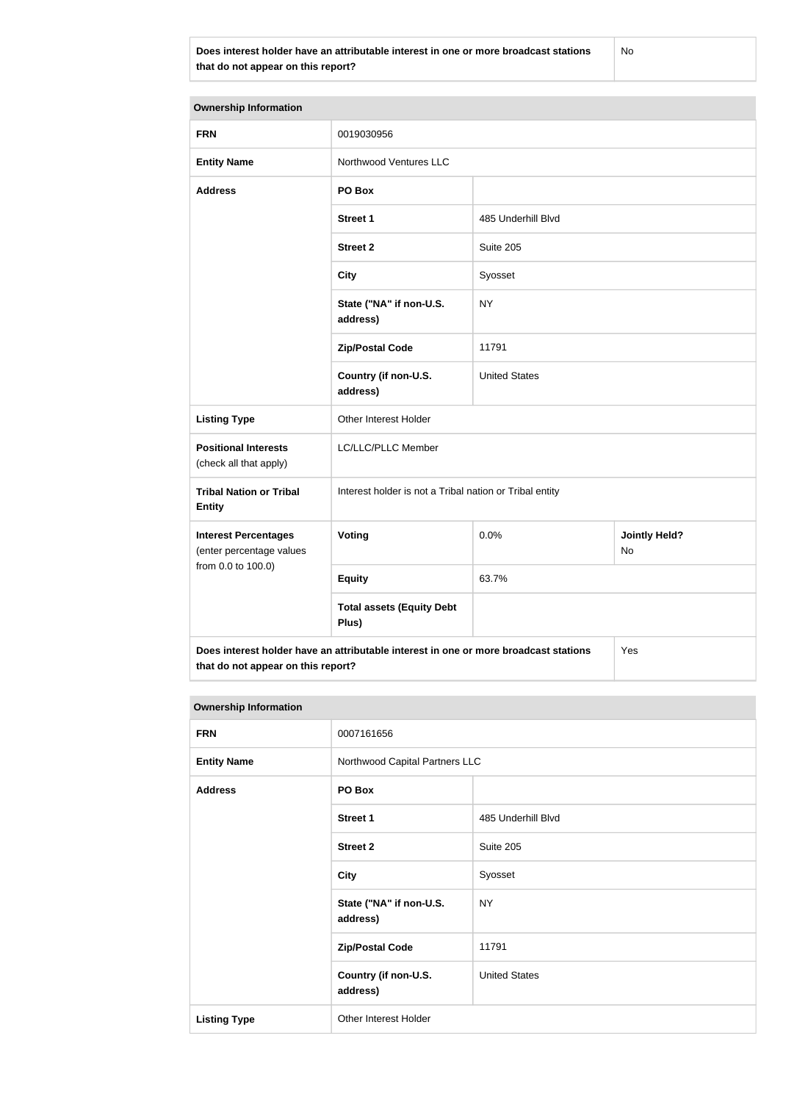**Does interest holder have an attributable interest in one or more broadcast stations that do not appear on this report?**

No

| <b>Ownership Information</b>                                                                |                                                         |                                    |  |
|---------------------------------------------------------------------------------------------|---------------------------------------------------------|------------------------------------|--|
| <b>FRN</b>                                                                                  | 0019030956                                              |                                    |  |
| <b>Entity Name</b>                                                                          | Northwood Ventures LLC                                  |                                    |  |
| <b>Address</b>                                                                              | PO Box                                                  |                                    |  |
|                                                                                             | <b>Street 1</b>                                         | 485 Underhill Blvd                 |  |
|                                                                                             | <b>Street 2</b>                                         | Suite 205                          |  |
|                                                                                             | <b>City</b>                                             | Syosset                            |  |
|                                                                                             | State ("NA" if non-U.S.<br>address)                     | <b>NY</b>                          |  |
|                                                                                             | <b>Zip/Postal Code</b>                                  | 11791                              |  |
|                                                                                             | Country (if non-U.S.<br>address)                        | <b>United States</b>               |  |
| <b>Listing Type</b>                                                                         | Other Interest Holder                                   |                                    |  |
| <b>Positional Interests</b><br>(check all that apply)                                       | LC/LLC/PLLC Member                                      |                                    |  |
| <b>Tribal Nation or Tribal</b><br><b>Entity</b>                                             | Interest holder is not a Tribal nation or Tribal entity |                                    |  |
| <b>Interest Percentages</b><br>(enter percentage values<br>from 0.0 to 100.0)               | Voting                                                  | <b>Jointly Held?</b><br>0.0%<br>No |  |
|                                                                                             | <b>Equity</b>                                           | 63.7%                              |  |
|                                                                                             | <b>Total assets (Equity Debt</b><br>Plus)               |                                    |  |
| Does interest holder have an attributable interest in one or more broadcast stations<br>Yes |                                                         |                                    |  |

**that do not appear on this report?**

| <b>Ownership Information</b> |                                     |                      |  |
|------------------------------|-------------------------------------|----------------------|--|
| <b>FRN</b>                   | 0007161656                          |                      |  |
| <b>Entity Name</b>           | Northwood Capital Partners LLC      |                      |  |
| <b>Address</b>               | PO Box                              |                      |  |
|                              | <b>Street 1</b>                     | 485 Underhill Blvd   |  |
|                              | <b>Street 2</b>                     | Suite 205            |  |
|                              | <b>City</b>                         | Syosset              |  |
|                              | State ("NA" if non-U.S.<br>address) | <b>NY</b>            |  |
|                              | <b>Zip/Postal Code</b>              | 11791                |  |
|                              | Country (if non-U.S.<br>address)    | <b>United States</b> |  |
| <b>Listing Type</b>          | Other Interest Holder               |                      |  |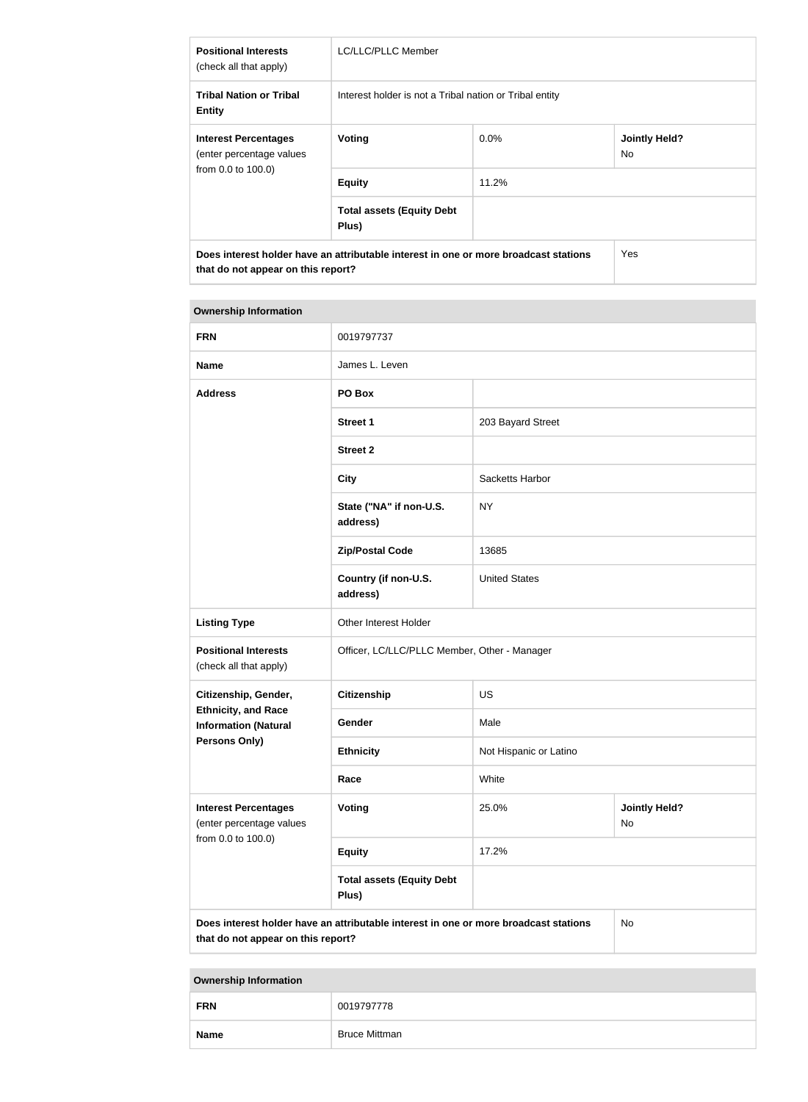| <b>Positional Interests</b><br>(check all that apply)                                                                      | LC/LLC/PLLC Member                                      |         |                             |
|----------------------------------------------------------------------------------------------------------------------------|---------------------------------------------------------|---------|-----------------------------|
| <b>Tribal Nation or Tribal</b><br><b>Entity</b>                                                                            | Interest holder is not a Tribal nation or Tribal entity |         |                             |
| <b>Interest Percentages</b><br>(enter percentage values<br>from 0.0 to 100.0)                                              | Voting                                                  | $0.0\%$ | <b>Jointly Held?</b><br>No. |
|                                                                                                                            | <b>Equity</b>                                           | 11.2%   |                             |
|                                                                                                                            | <b>Total assets (Equity Debt</b><br>Plus)               |         |                             |
| Does interest holder have an attributable interest in one or more broadcast stations<br>that do not appear on this report? |                                                         |         | <b>Yes</b>                  |

# **Ownership Information FRN** 0019797737 **Name James L. Leven Address PO Box Street 1** 203 Bayard Street **Street 2 City** Sacketts Harbor **State ("NA" if non-U.S. address)** NY **Zip/Postal Code** 13685 **Country (if non-U.S. address)** United States Listing Type **Communist Communist Communist Communist Communist Communist Communist Communist Communist Communist Communist Communist Communist Communist Communist Communist Communist Communist Communist Communist Communis Positional Interests** (check all that apply) Officer, LC/LLC/PLLC Member, Other - Manager **Citizenship, Gender, Ethnicity, and Race Information (Natural Persons Only) Citizenship** US Gender Male **Ethnicity** Not Hispanic or Latino **Race** White **Interest Percentages** (enter percentage values from 0.0 to 100.0) **Voting** 25.0% **Jointly Held?** No **Equity** 17.2% **Total assets (Equity Debt Plus) Does interest holder have an attributable interest in one or more broadcast stations that do not appear on this report?** No

| <b>FRN</b>  | 0019797778           |
|-------------|----------------------|
| <b>Name</b> | <b>Bruce Mittman</b> |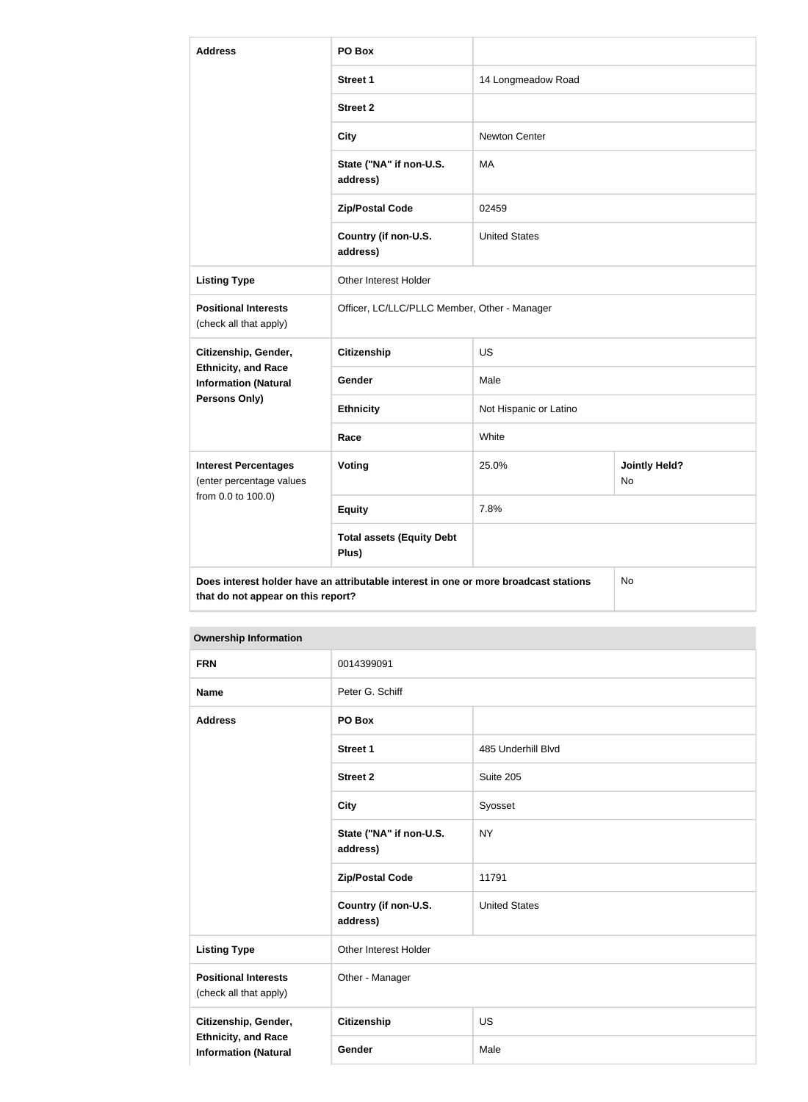| <b>Address</b>                                            | PO Box                                                                               |                        |                            |
|-----------------------------------------------------------|--------------------------------------------------------------------------------------|------------------------|----------------------------|
|                                                           | <b>Street 1</b>                                                                      | 14 Longmeadow Road     |                            |
|                                                           | <b>Street 2</b>                                                                      |                        |                            |
|                                                           | <b>City</b>                                                                          | <b>Newton Center</b>   |                            |
|                                                           | State ("NA" if non-U.S.<br>address)                                                  | MA                     |                            |
|                                                           | <b>Zip/Postal Code</b>                                                               | 02459                  |                            |
|                                                           | Country (if non-U.S.<br>address)                                                     | <b>United States</b>   |                            |
| <b>Listing Type</b>                                       | Other Interest Holder                                                                |                        |                            |
| <b>Positional Interests</b><br>(check all that apply)     | Officer, LC/LLC/PLLC Member, Other - Manager                                         |                        |                            |
| Citizenship, Gender,                                      | <b>Citizenship</b>                                                                   | <b>US</b>              |                            |
| <b>Ethnicity, and Race</b><br><b>Information (Natural</b> | Gender                                                                               | Male                   |                            |
| Persons Only)                                             | <b>Ethnicity</b>                                                                     | Not Hispanic or Latino |                            |
|                                                           | Race                                                                                 | White                  |                            |
| <b>Interest Percentages</b><br>(enter percentage values   | Voting                                                                               | 25.0%                  | <b>Jointly Held?</b><br>No |
| from 0.0 to 100.0)                                        | <b>Equity</b>                                                                        | 7.8%                   |                            |
|                                                           | <b>Total assets (Equity Debt</b><br>Plus)                                            |                        |                            |
| that do not appear on this report?                        | Does interest holder have an attributable interest in one or more broadcast stations |                        | No                         |

| <b>FRN</b>                                                                        | 0014399091                          |                      |
|-----------------------------------------------------------------------------------|-------------------------------------|----------------------|
| <b>Name</b>                                                                       | Peter G. Schiff                     |                      |
| <b>Address</b>                                                                    | PO Box                              |                      |
|                                                                                   | <b>Street 1</b>                     | 485 Underhill Blvd   |
|                                                                                   | <b>Street 2</b>                     | Suite 205            |
|                                                                                   | <b>City</b>                         | Syosset              |
|                                                                                   | State ("NA" if non-U.S.<br>address) | <b>NY</b>            |
|                                                                                   | <b>Zip/Postal Code</b>              | 11791                |
|                                                                                   | Country (if non-U.S.<br>address)    | <b>United States</b> |
| <b>Listing Type</b>                                                               | Other Interest Holder               |                      |
| <b>Positional Interests</b><br>(check all that apply)                             | Other - Manager                     |                      |
| Citizenship, Gender,<br><b>Ethnicity, and Race</b><br><b>Information (Natural</b> | Citizenship                         | <b>US</b>            |
|                                                                                   | Gender                              | Male                 |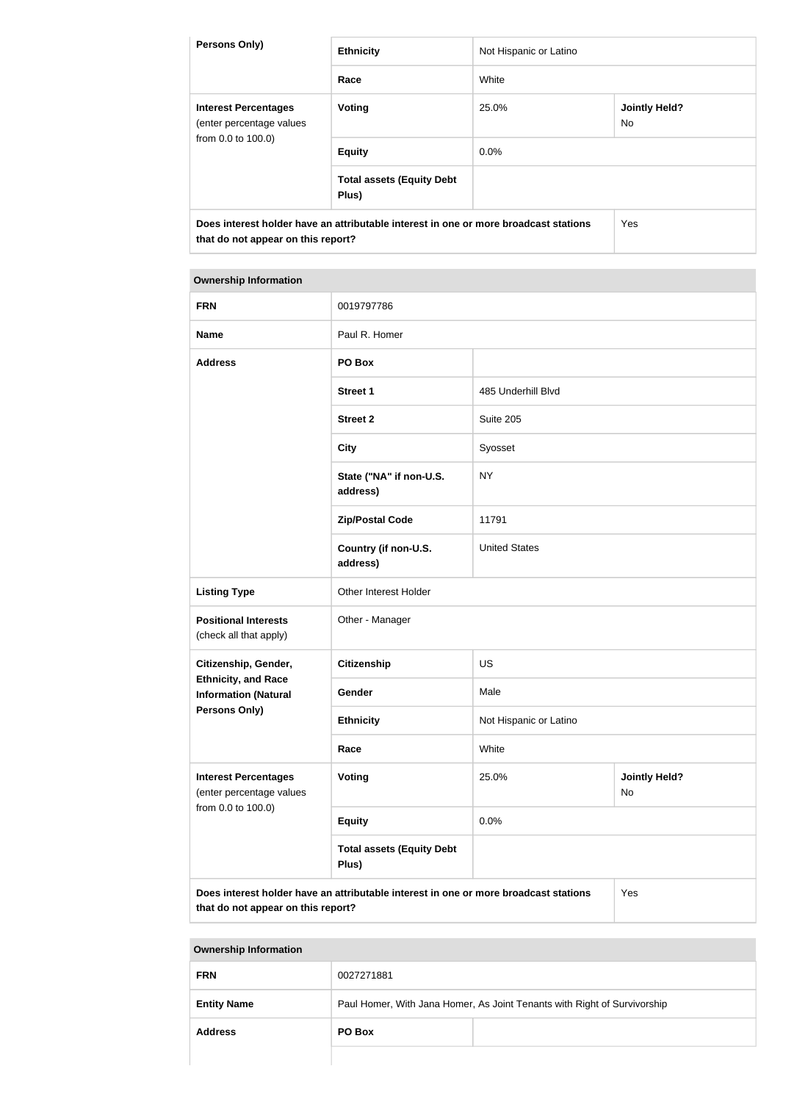| <b>Persons Only)</b>                                                                                                       | <b>Ethnicity</b>                          | Not Hispanic or Latino |                             |  |
|----------------------------------------------------------------------------------------------------------------------------|-------------------------------------------|------------------------|-----------------------------|--|
|                                                                                                                            | Race                                      | White                  |                             |  |
| <b>Interest Percentages</b><br>(enter percentage values<br>from 0.0 to 100.0)                                              | Voting                                    | 25.0%                  | <b>Jointly Held?</b><br>No. |  |
|                                                                                                                            | <b>Equity</b>                             | 0.0%                   |                             |  |
|                                                                                                                            | <b>Total assets (Equity Debt</b><br>Plus) |                        |                             |  |
| Does interest holder have an attributable interest in one or more broadcast stations<br>that do not appear on this report? |                                           | Yes                    |                             |  |

#### **Ownership Information**

| <b>FRN</b>                                                                                  | 0019797786                                |                        |                            |
|---------------------------------------------------------------------------------------------|-------------------------------------------|------------------------|----------------------------|
| <b>Name</b>                                                                                 | Paul R. Homer                             |                        |                            |
| <b>Address</b>                                                                              | PO Box                                    |                        |                            |
|                                                                                             | <b>Street 1</b>                           | 485 Underhill Blvd     |                            |
|                                                                                             | <b>Street 2</b>                           | Suite 205              |                            |
|                                                                                             | <b>City</b>                               | Syosset                |                            |
|                                                                                             | State ("NA" if non-U.S.<br>address)       | <b>NY</b>              |                            |
|                                                                                             | <b>Zip/Postal Code</b>                    | 11791                  |                            |
|                                                                                             | Country (if non-U.S.<br>address)          | <b>United States</b>   |                            |
| <b>Listing Type</b>                                                                         | Other Interest Holder                     |                        |                            |
| <b>Positional Interests</b><br>(check all that apply)                                       | Other - Manager                           |                        |                            |
| Citizenship, Gender,                                                                        | <b>Citizenship</b>                        | <b>US</b>              |                            |
| <b>Ethnicity, and Race</b><br><b>Information (Natural</b>                                   | Gender                                    | Male                   |                            |
| <b>Persons Only)</b>                                                                        | <b>Ethnicity</b>                          | Not Hispanic or Latino |                            |
|                                                                                             | Race                                      | White                  |                            |
| <b>Interest Percentages</b><br>(enter percentage values<br>from 0.0 to 100.0)               | Voting                                    | 25.0%                  | <b>Jointly Held?</b><br>No |
|                                                                                             | <b>Equity</b>                             | 0.0%                   |                            |
|                                                                                             | <b>Total assets (Equity Debt</b><br>Plus) |                        |                            |
| Does interest holder have an attributable interest in one or more broadcast stations<br>Yes |                                           |                        |                            |

**that do not appear on this report?**

| <b>Address</b>     | PO Box                                                                   |  |
|--------------------|--------------------------------------------------------------------------|--|
| <b>Entity Name</b> | Paul Homer, With Jana Homer, As Joint Tenants with Right of Survivorship |  |
| <b>FRN</b>         | 0027271881                                                               |  |
|                    |                                                                          |  |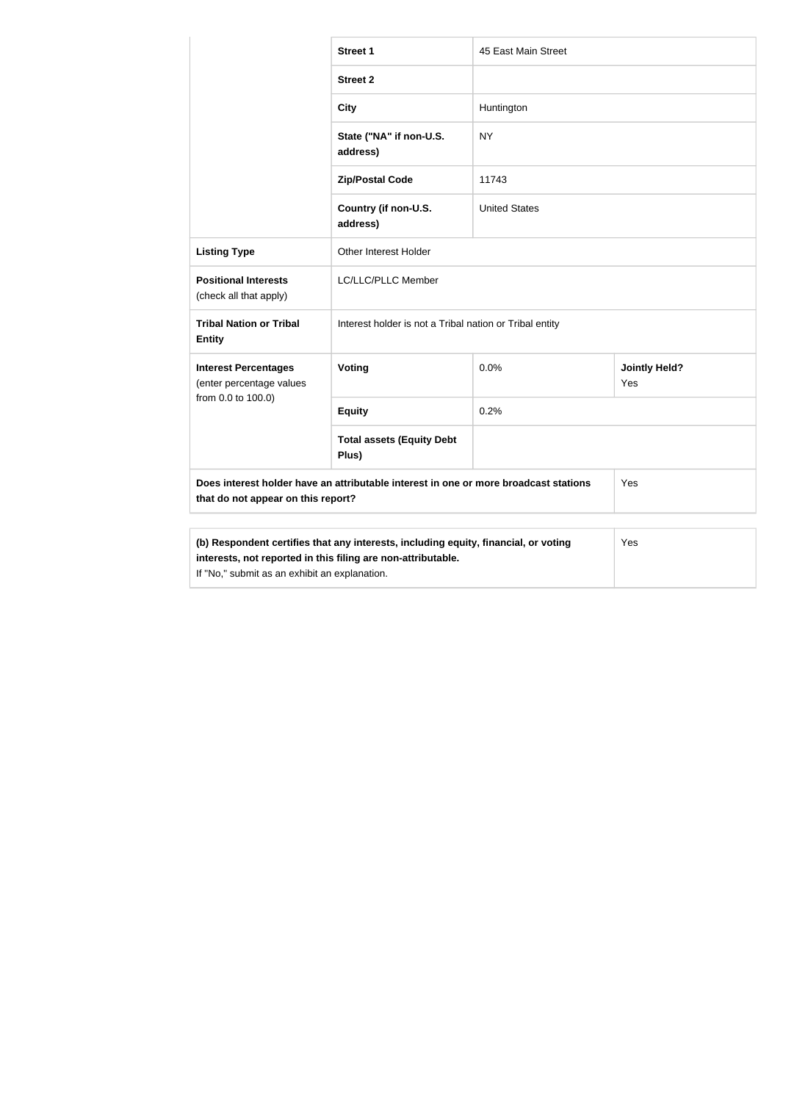|                                                                                                                                                                                                      | <b>Street 1</b>                                         | 45 East Main Street  |                             |  |
|------------------------------------------------------------------------------------------------------------------------------------------------------------------------------------------------------|---------------------------------------------------------|----------------------|-----------------------------|--|
|                                                                                                                                                                                                      | <b>Street 2</b>                                         |                      |                             |  |
|                                                                                                                                                                                                      | <b>City</b>                                             | Huntington           |                             |  |
|                                                                                                                                                                                                      | State ("NA" if non-U.S.<br>address)                     | <b>NY</b>            |                             |  |
|                                                                                                                                                                                                      | <b>Zip/Postal Code</b>                                  | 11743                |                             |  |
|                                                                                                                                                                                                      | Country (if non-U.S.<br>address)                        | <b>United States</b> |                             |  |
| <b>Listing Type</b>                                                                                                                                                                                  | Other Interest Holder                                   |                      |                             |  |
| <b>Positional Interests</b><br>(check all that apply)                                                                                                                                                | LC/LLC/PLLC Member                                      |                      |                             |  |
| <b>Tribal Nation or Tribal</b><br><b>Entity</b>                                                                                                                                                      | Interest holder is not a Tribal nation or Tribal entity |                      |                             |  |
| <b>Interest Percentages</b><br>(enter percentage values                                                                                                                                              | Voting                                                  | 0.0%                 | <b>Jointly Held?</b><br>Yes |  |
| from 0.0 to 100.0)                                                                                                                                                                                   | <b>Equity</b>                                           | 0.2%                 |                             |  |
|                                                                                                                                                                                                      | <b>Total assets (Equity Debt</b><br>Plus)               |                      |                             |  |
| Does interest holder have an attributable interest in one or more broadcast stations<br>that do not appear on this report?                                                                           |                                                         |                      | Yes                         |  |
|                                                                                                                                                                                                      |                                                         |                      |                             |  |
| (b) Respondent certifies that any interests, including equity, financial, or voting<br>interests, not reported in this filing are non-attributable.<br>If "No," submit as an exhibit an explanation. |                                                         |                      | Yes                         |  |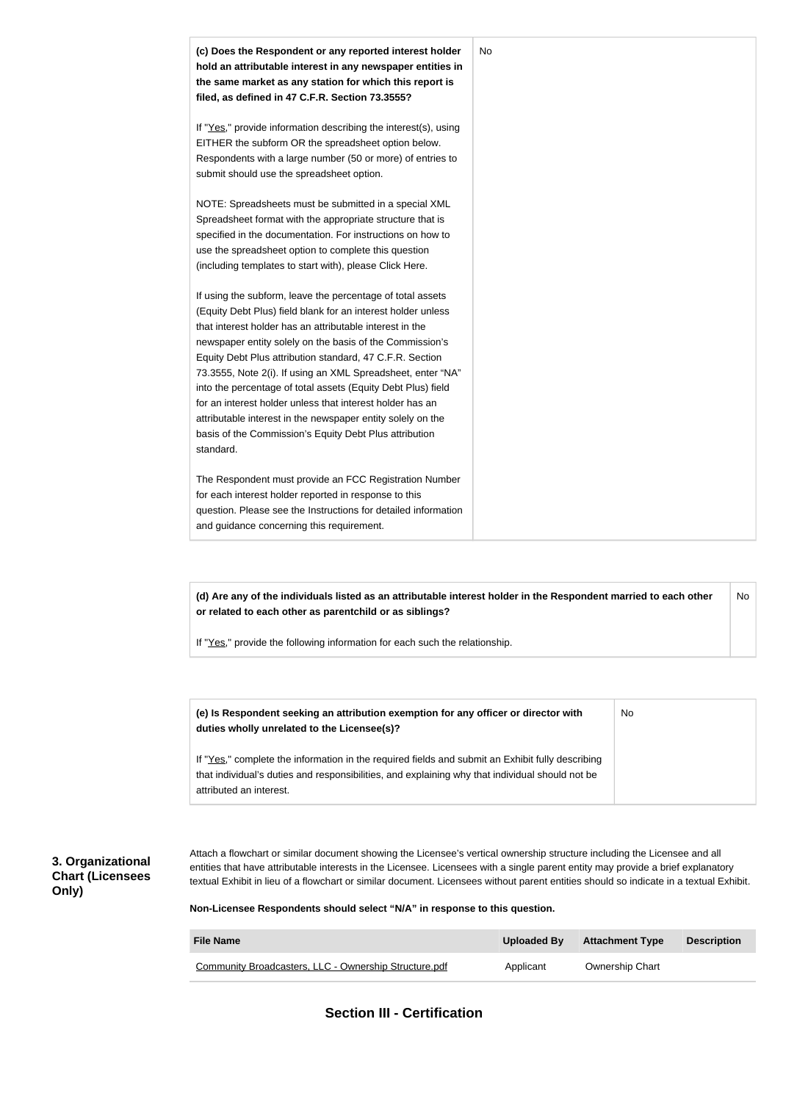

**(d) Are any of the individuals listed as an attributable interest holder in the Respondent married to each other or related to each other as parentchild or as siblings?** No

If "Yes," provide the following information for each such the relationship.

| (e) Is Respondent seeking an attribution exemption for any officer or director with<br>duties wholly unrelated to the Licensee(s)?                                                                                             | No |
|--------------------------------------------------------------------------------------------------------------------------------------------------------------------------------------------------------------------------------|----|
| If "Yes," complete the information in the required fields and submit an Exhibit fully describing<br>that individual's duties and responsibilities, and explaining why that individual should not be<br>attributed an interest. |    |

#### **3. Organizational Chart (Licensees Only)**

Attach a flowchart or similar document showing the Licensee's vertical ownership structure including the Licensee and all entities that have attributable interests in the Licensee. Licensees with a single parent entity may provide a brief explanatory textual Exhibit in lieu of a flowchart or similar document. Licensees without parent entities should so indicate in a textual Exhibit.

**Non-Licensee Respondents should select "N/A" in response to this question.**

| <b>File Name</b>                                      | Uploaded By | <b>Attachment Type</b> | <b>Description</b> |
|-------------------------------------------------------|-------------|------------------------|--------------------|
| Community Broadcasters, LLC - Ownership Structure.pdf | Applicant   | <b>Ownership Chart</b> |                    |